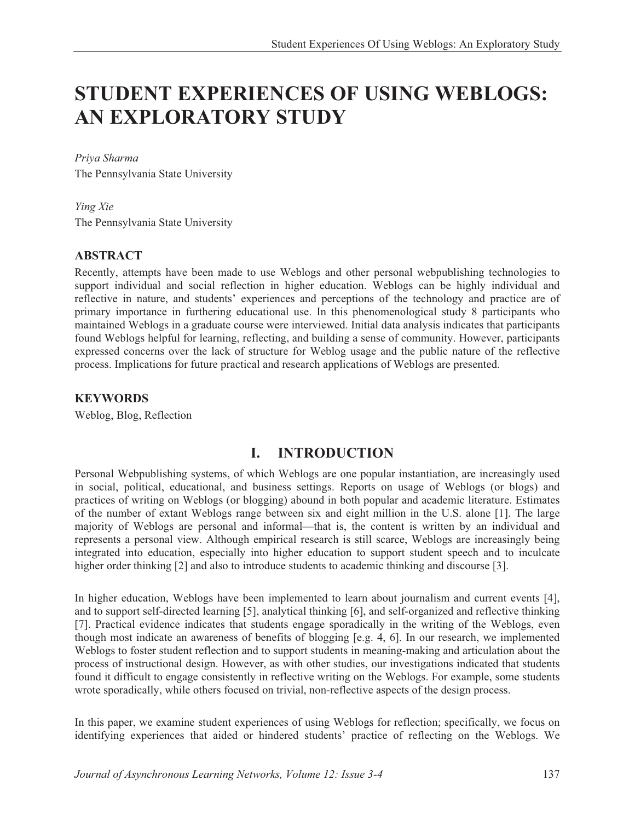# **STUDENT EXPERIENCES OF USING WEBLOGS: AN EXPLORATORY STUDY**

#### *Priya Sharma*

The Pennsylvania State University

#### *Ying Xie*

The Pennsylvania State University

#### **ABSTRACT**

Recently, attempts have been made to use Weblogs and other personal webpublishing technologies to support individual and social reflection in higher education. Weblogs can be highly individual and reflective in nature, and students' experiences and perceptions of the technology and practice are of primary importance in furthering educational use. In this phenomenological study 8 participants who maintained Weblogs in a graduate course were interviewed. Initial data analysis indicates that participants found Weblogs helpful for learning, reflecting, and building a sense of community. However, participants expressed concerns over the lack of structure for Weblog usage and the public nature of the reflective process. Implications for future practical and research applications of Weblogs are presented.

#### **KEYWORDS**

Weblog, Blog, Reflection

### **I. INTRODUCTION**

Personal Webpublishing systems, of which Weblogs are one popular instantiation, are increasingly used in social, political, educational, and business settings. Reports on usage of Weblogs (or blogs) and practices of writing on Weblogs (or blogging) abound in both popular and academic literature. Estimates of the number of extant Weblogs range between six and eight million in the U.S. alone [1]. The large majority of Weblogs are personal and informal—that is, the content is written by an individual and represents a personal view. Although empirical research is still scarce, Weblogs are increasingly being integrated into education, especially into higher education to support student speech and to inculcate higher order thinking [2] and also to introduce students to academic thinking and discourse [3].

In higher education, Weblogs have been implemented to learn about journalism and current events [4], and to support self-directed learning [5], analytical thinking [6], and self-organized and reflective thinking [7]. Practical evidence indicates that students engage sporadically in the writing of the Weblogs, even though most indicate an awareness of benefits of blogging [e.g. 4, 6]. In our research, we implemented Weblogs to foster student reflection and to support students in meaning-making and articulation about the process of instructional design. However, as with other studies, our investigations indicated that students found it difficult to engage consistently in reflective writing on the Weblogs. For example, some students wrote sporadically, while others focused on trivial, non-reflective aspects of the design process.

In this paper, we examine student experiences of using Weblogs for reflection; specifically, we focus on identifying experiences that aided or hindered students' practice of reflecting on the Weblogs. We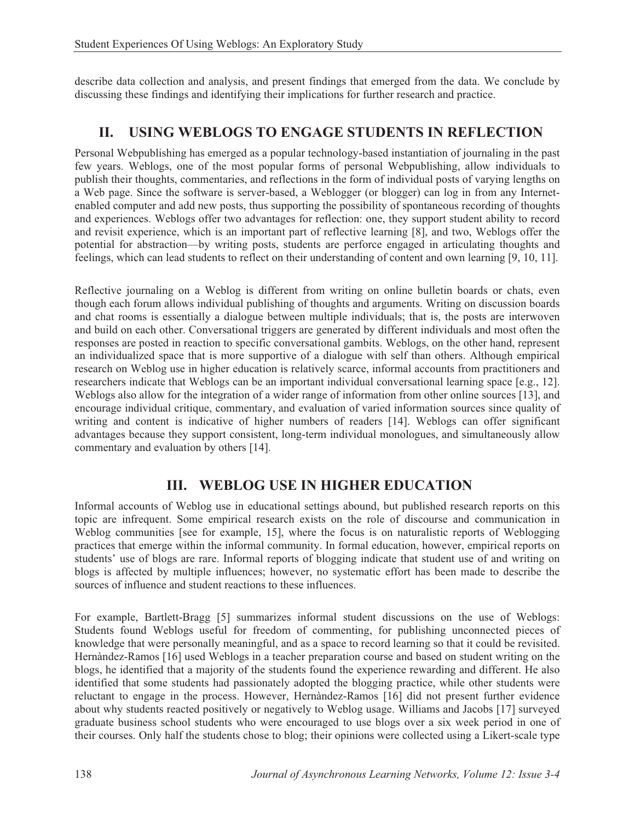describe data collection and analysis, and present findings that emerged from the data. We conclude by discussing these findings and identifying their implications for further research and practice.

# **II. USING WEBLOGS TO ENGAGE STUDENTS IN REFLECTION**

Personal Webpublishing has emerged as a popular technology-based instantiation of journaling in the past few years. Weblogs, one of the most popular forms of personal Webpublishing, allow individuals to publish their thoughts, commentaries, and reflections in the form of individual posts of varying lengths on a Web page. Since the software is server-based, a Weblogger (or blogger) can log in from any Internetenabled computer and add new posts, thus supporting the possibility of spontaneous recording of thoughts and experiences. Weblogs offer two advantages for reflection: one, they support student ability to record and revisit experience, which is an important part of reflective learning [8], and two, Weblogs offer the potential for abstraction—by writing posts, students are perforce engaged in articulating thoughts and feelings, which can lead students to reflect on their understanding of content and own learning [9, 10, 11].

Reflective journaling on a Weblog is different from writing on online bulletin boards or chats, even though each forum allows individual publishing of thoughts and arguments. Writing on discussion boards and chat rooms is essentially a dialogue between multiple individuals; that is, the posts are interwoven and build on each other. Conversational triggers are generated by different individuals and most often the responses are posted in reaction to specific conversational gambits. Weblogs, on the other hand, represent an individualized space that is more supportive of a dialogue with self than others. Although empirical research on Weblog use in higher education is relatively scarce, informal accounts from practitioners and researchers indicate that Weblogs can be an important individual conversational learning space [e.g., 12]. Weblogs also allow for the integration of a wider range of information from other online sources [13], and encourage individual critique, commentary, and evaluation of varied information sources since quality of writing and content is indicative of higher numbers of readers [14]. Weblogs can offer significant advantages because they support consistent, long-term individual monologues, and simultaneously allow commentary and evaluation by others [14].

### **III. WEBLOG USE IN HIGHER EDUCATION**

Informal accounts of Weblog use in educational settings abound, but published research reports on this topic are infrequent. Some empirical research exists on the role of discourse and communication in Weblog communities [see for example, 15], where the focus is on naturalistic reports of Weblogging practices that emerge within the informal community. In formal education, however, empirical reports on students' use of blogs are rare. Informal reports of blogging indicate that student use of and writing on blogs is affected by multiple influences; however, no systematic effort has been made to describe the sources of influence and student reactions to these influences.

For example, Bartlett-Bragg [5] summarizes informal student discussions on the use of Weblogs: Students found Weblogs useful for freedom of commenting, for publishing unconnected pieces of knowledge that were personally meaningful, and as a space to record learning so that it could be revisited. Hernàndez-Ramos [16] used Weblogs in a teacher preparation course and based on student writing on the blogs, he identified that a majority of the students found the experience rewarding and different. He also identified that some students had passionately adopted the blogging practice, while other students were reluctant to engage in the process. However, Hernàndez-Ramos [16] did not present further evidence about why students reacted positively or negatively to Weblog usage. Williams and Jacobs [17] surveyed graduate business school students who were encouraged to use blogs over a six week period in one of their courses. Only half the students chose to blog; their opinions were collected using a Likert-scale type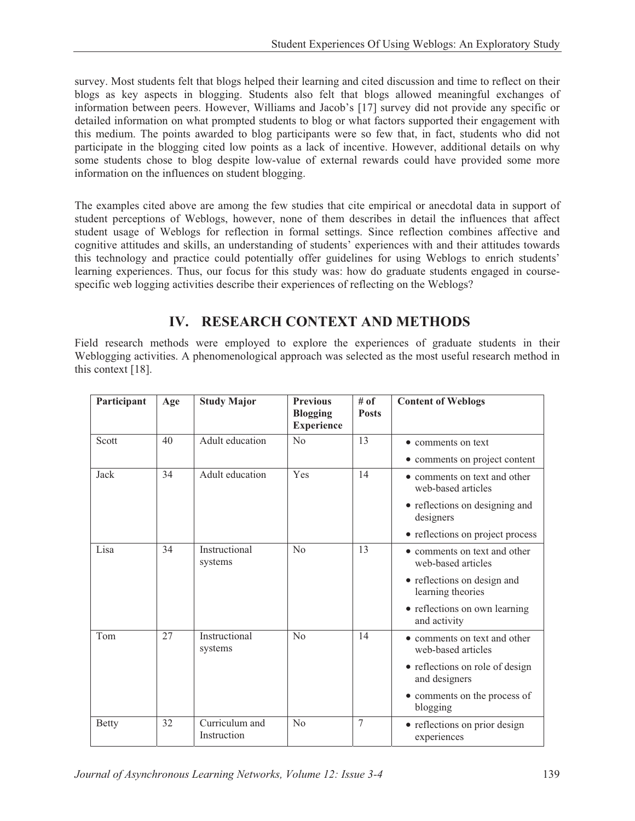survey. Most students felt that blogs helped their learning and cited discussion and time to reflect on their blogs as key aspects in blogging. Students also felt that blogs allowed meaningful exchanges of information between peers. However, Williams and Jacob's [17] survey did not provide any specific or detailed information on what prompted students to blog or what factors supported their engagement with this medium. The points awarded to blog participants were so few that, in fact, students who did not participate in the blogging cited low points as a lack of incentive. However, additional details on why some students chose to blog despite low-value of external rewards could have provided some more information on the influences on student blogging.

The examples cited above are among the few studies that cite empirical or anecdotal data in support of student perceptions of Weblogs, however, none of them describes in detail the influences that affect student usage of Weblogs for reflection in formal settings. Since reflection combines affective and cognitive attitudes and skills, an understanding of students' experiences with and their attitudes towards this technology and practice could potentially offer guidelines for using Weblogs to enrich students' learning experiences. Thus, our focus for this study was: how do graduate students engaged in coursespecific web logging activities describe their experiences of reflecting on the Weblogs?

# **IV. RESEARCH CONTEXT AND METHODS**

Field research methods were employed to explore the experiences of graduate students in their Weblogging activities. A phenomenological approach was selected as the most useful research method in this context [18].

| Participant  | Age | <b>Study Major</b>            | <b>Previous</b><br><b>Blogging</b><br><b>Experience</b> | # of<br><b>Posts</b> | <b>Content of Weblogs</b>                          |
|--------------|-----|-------------------------------|---------------------------------------------------------|----------------------|----------------------------------------------------|
| Scott        | 40  | Adult education               | $\rm N_{0}$                                             | 13                   | $\bullet$ comments on text                         |
|              |     |                               |                                                         |                      | • comments on project content                      |
| Jack         | 34  | Adult education               | Yes                                                     | 14                   | • comments on text and other<br>web-based articles |
|              |     |                               |                                                         |                      | • reflections on designing and<br>designers        |
|              |     |                               |                                                         |                      | • reflections on project process                   |
| Lisa         | 34  | Instructional<br>systems      | N <sub>o</sub>                                          | 13                   | • comments on text and other<br>web-based articles |
|              |     |                               |                                                         |                      | • reflections on design and<br>learning theories   |
|              |     |                               |                                                         |                      | • reflections on own learning<br>and activity      |
| Tom          | 27  | Instructional<br>systems      | $\rm No$                                                | 14                   | • comments on text and other<br>web-based articles |
|              |     |                               |                                                         |                      | • reflections on role of design<br>and designers   |
|              |     |                               |                                                         |                      | • comments on the process of<br>blogging           |
| <b>Betty</b> | 32  | Curriculum and<br>Instruction | No                                                      | $\overline{7}$       | • reflections on prior design<br>experiences       |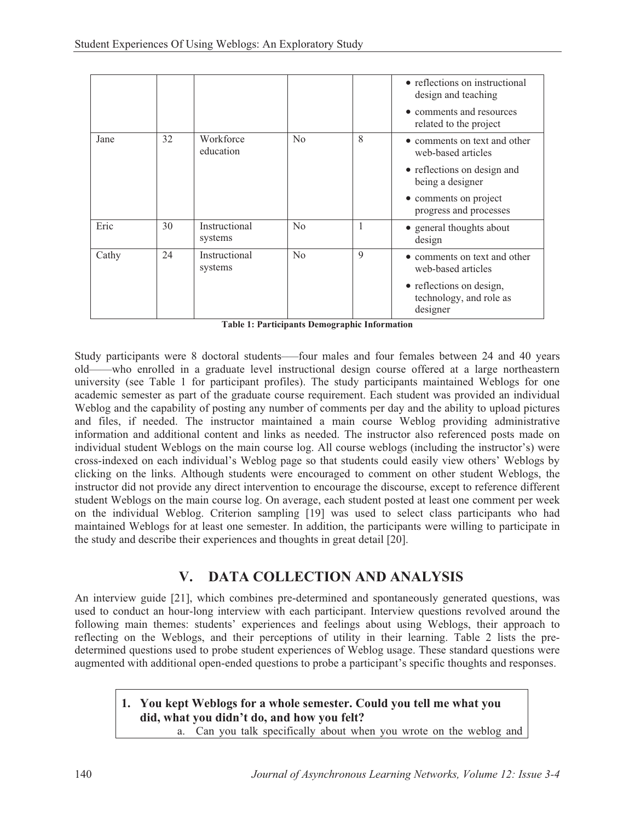|       |    |                          |          |   | • reflections on instructional<br>design and teaching           |
|-------|----|--------------------------|----------|---|-----------------------------------------------------------------|
|       |    |                          |          |   | • comments and resources<br>related to the project              |
| Jane  | 32 | Workforce<br>education   | $\rm No$ | 8 | • comments on text and other<br>web-based articles              |
|       |    |                          |          |   | • reflections on design and<br>being a designer                 |
|       |    |                          |          |   | • comments on project<br>progress and processes                 |
| Eric  | 30 | Instructional<br>systems | No       |   | • general thoughts about<br>design                              |
| Cathy | 24 | Instructional<br>systems | $\rm No$ | 9 | • comments on text and other<br>web-based articles              |
|       |    |                          |          |   | • reflections on design,<br>technology, and role as<br>designer |

**Table 1: Participants Demographic Information** 

Study participants were 8 doctoral students–—four males and four females between 24 and 40 years old——who enrolled in a graduate level instructional design course offered at a large northeastern university (see Table 1 for participant profiles). The study participants maintained Weblogs for one academic semester as part of the graduate course requirement. Each student was provided an individual Weblog and the capability of posting any number of comments per day and the ability to upload pictures and files, if needed. The instructor maintained a main course Weblog providing administrative information and additional content and links as needed. The instructor also referenced posts made on individual student Weblogs on the main course log. All course weblogs (including the instructor's) were cross-indexed on each individual's Weblog page so that students could easily view others' Weblogs by clicking on the links. Although students were encouraged to comment on other student Weblogs, the instructor did not provide any direct intervention to encourage the discourse, except to reference different student Weblogs on the main course log. On average, each student posted at least one comment per week on the individual Weblog. Criterion sampling [19] was used to select class participants who had maintained Weblogs for at least one semester. In addition, the participants were willing to participate in the study and describe their experiences and thoughts in great detail [20].

# **V. DATA COLLECTION AND ANALYSIS**

An interview guide [21], which combines pre-determined and spontaneously generated questions, was used to conduct an hour-long interview with each participant. Interview questions revolved around the following main themes: students' experiences and feelings about using Weblogs, their approach to reflecting on the Weblogs, and their perceptions of utility in their learning. Table 2 lists the predetermined questions used to probe student experiences of Weblog usage. These standard questions were augmented with additional open-ended questions to probe a participant's specific thoughts and responses.

### **1. You kept Weblogs for a whole semester. Could you tell me what you did, what you didn't do, and how you felt?**

a. Can you talk specifically about when you wrote on the weblog and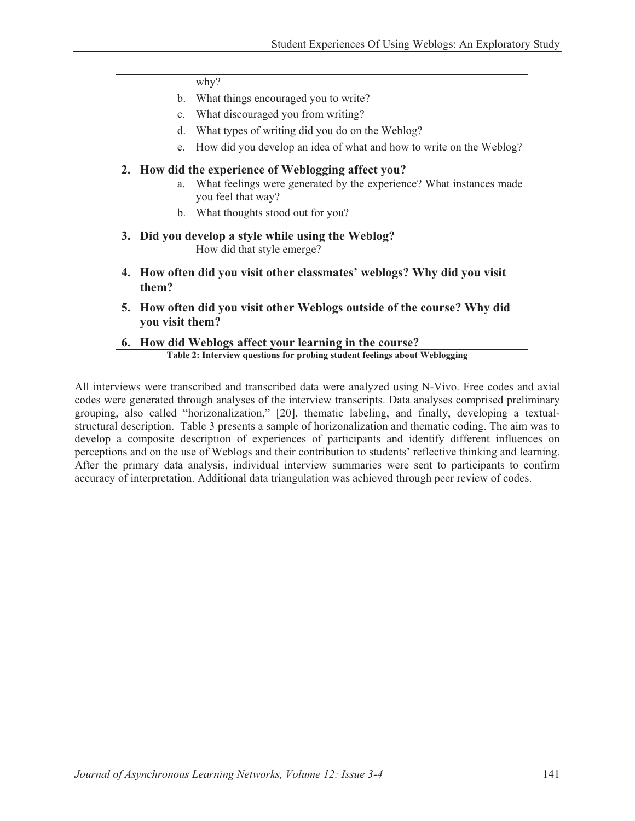why? b. What things encouraged you to write? c. What discouraged you from writing? d. What types of writing did you do on the Weblog? e. How did you develop an idea of what and how to write on the Weblog? **2. How did the experience of Weblogging affect you?**  a. What feelings were generated by the experience? What instances made you feel that way? b. What thoughts stood out for you? **3. Did you develop a style while using the Weblog?** How did that style emerge? **4. How often did you visit other classmates' weblogs? Why did you visit them? 5. How often did you visit other Weblogs outside of the course? Why did you visit them? 6. How did Weblogs affect your learning in the course? Table 2: Interview questions for probing student feelings about Weblogging** 

All interviews were transcribed and transcribed data were analyzed using N-Vivo. Free codes and axial codes were generated through analyses of the interview transcripts. Data analyses comprised preliminary grouping, also called "horizonalization," [20], thematic labeling, and finally, developing a textualstructural description. Table 3 presents a sample of horizonalization and thematic coding. The aim was to develop a composite description of experiences of participants and identify different influences on perceptions and on the use of Weblogs and their contribution to students' reflective thinking and learning. After the primary data analysis, individual interview summaries were sent to participants to confirm accuracy of interpretation. Additional data triangulation was achieved through peer review of codes.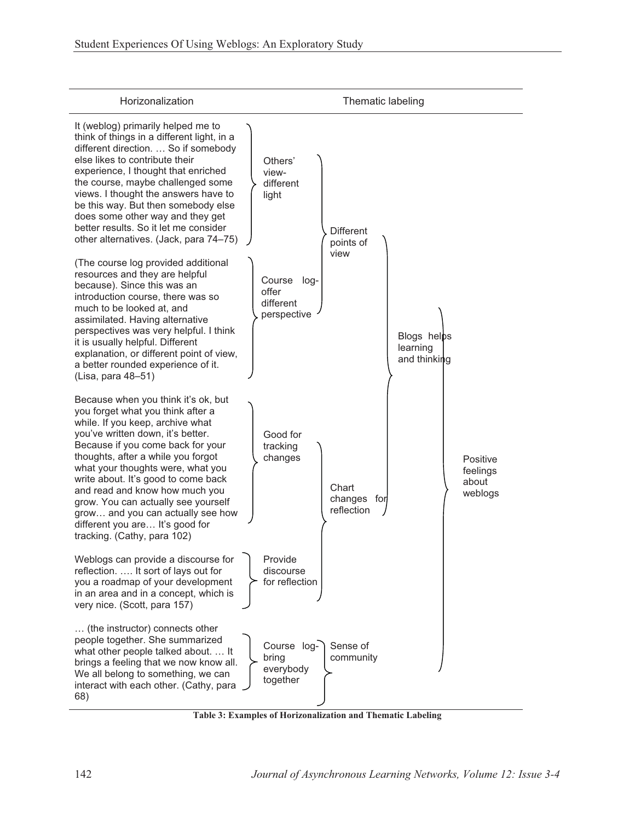

**Table 3: Examples of Horizonalization and Thematic Labeling**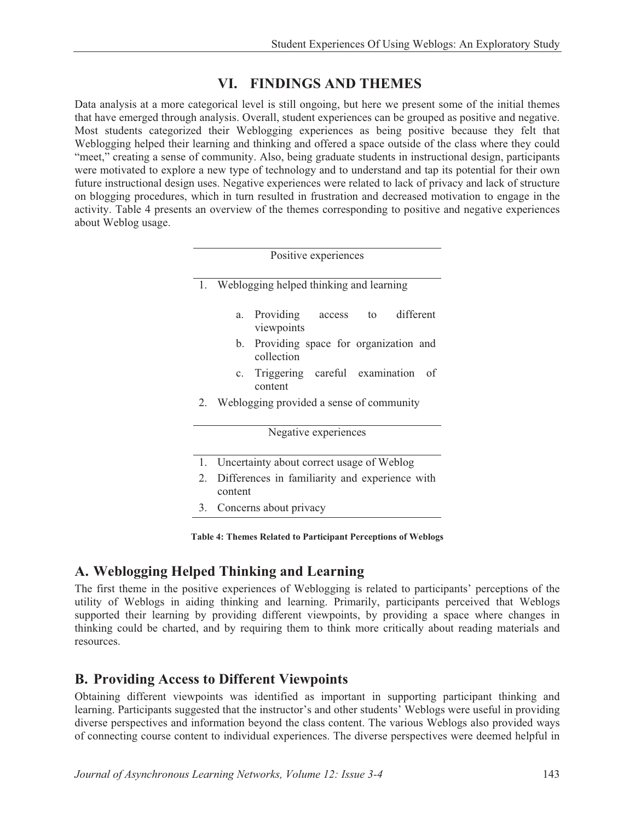# **VI. FINDINGS AND THEMES**

Data analysis at a more categorical level is still ongoing, but here we present some of the initial themes that have emerged through analysis. Overall, student experiences can be grouped as positive and negative. Most students categorized their Weblogging experiences as being positive because they felt that Weblogging helped their learning and thinking and offered a space outside of the class where they could "meet," creating a sense of community. Also, being graduate students in instructional design, participants were motivated to explore a new type of technology and to understand and tap its potential for their own future instructional design uses. Negative experiences were related to lack of privacy and lack of structure on blogging procedures, which in turn resulted in frustration and decreased motivation to engage in the activity. Table 4 presents an overview of the themes corresponding to positive and negative experiences about Weblog usage.

|    | Positive experiences                                           |  |  |  |  |
|----|----------------------------------------------------------------|--|--|--|--|
|    | 1. Weblogging helped thinking and learning                     |  |  |  |  |
|    | different<br>Providing access to<br>a.<br>viewpoints           |  |  |  |  |
|    | Providing space for organization and<br>b.<br>collection       |  |  |  |  |
|    | Triggering careful examination<br>of<br>$c_{\cdot}$<br>content |  |  |  |  |
| 2. | Weblogging provided a sense of community                       |  |  |  |  |
|    | Negative experiences                                           |  |  |  |  |
| 1. | Uncertainty about correct usage of Weblog                      |  |  |  |  |
| 2. | Differences in familiarity and experience with<br>content      |  |  |  |  |
| 3. | Concerns about privacy                                         |  |  |  |  |

**Table 4: Themes Related to Participant Perceptions of Weblogs** 

# **A. Weblogging Helped Thinking and Learning**

The first theme in the positive experiences of Weblogging is related to participants' perceptions of the utility of Weblogs in aiding thinking and learning. Primarily, participants perceived that Weblogs supported their learning by providing different viewpoints, by providing a space where changes in thinking could be charted, and by requiring them to think more critically about reading materials and resources.

# **B. Providing Access to Different Viewpoints**

Obtaining different viewpoints was identified as important in supporting participant thinking and learning. Participants suggested that the instructor's and other students' Weblogs were useful in providing diverse perspectives and information beyond the class content. The various Weblogs also provided ways of connecting course content to individual experiences. The diverse perspectives were deemed helpful in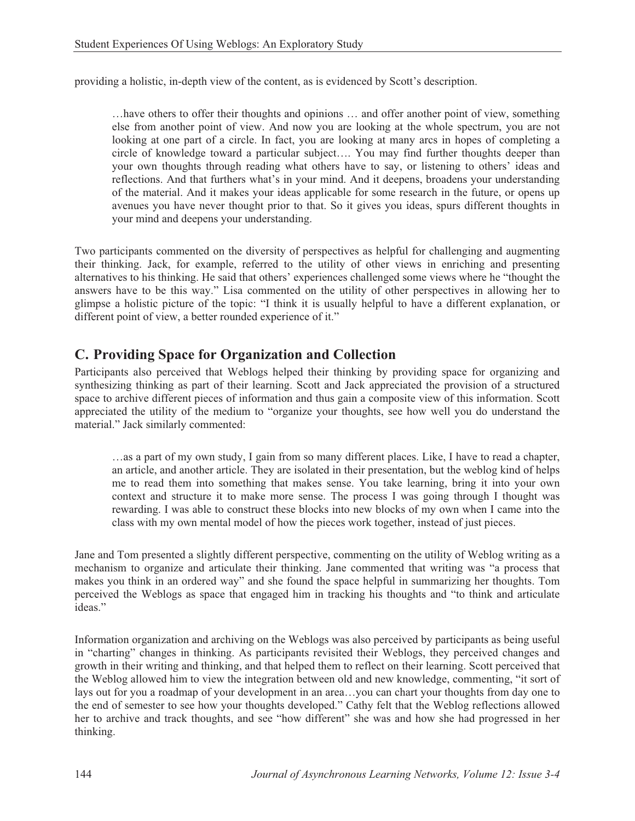providing a holistic, in-depth view of the content, as is evidenced by Scott's description.

…have others to offer their thoughts and opinions … and offer another point of view, something else from another point of view. And now you are looking at the whole spectrum, you are not looking at one part of a circle. In fact, you are looking at many arcs in hopes of completing a circle of knowledge toward a particular subject…. You may find further thoughts deeper than your own thoughts through reading what others have to say, or listening to others' ideas and reflections. And that furthers what's in your mind. And it deepens, broadens your understanding of the material. And it makes your ideas applicable for some research in the future, or opens up avenues you have never thought prior to that. So it gives you ideas, spurs different thoughts in your mind and deepens your understanding.

Two participants commented on the diversity of perspectives as helpful for challenging and augmenting their thinking. Jack, for example, referred to the utility of other views in enriching and presenting alternatives to his thinking. He said that others' experiences challenged some views where he "thought the answers have to be this way." Lisa commented on the utility of other perspectives in allowing her to glimpse a holistic picture of the topic: "I think it is usually helpful to have a different explanation, or different point of view, a better rounded experience of it."

# **C. Providing Space for Organization and Collection**

Participants also perceived that Weblogs helped their thinking by providing space for organizing and synthesizing thinking as part of their learning. Scott and Jack appreciated the provision of a structured space to archive different pieces of information and thus gain a composite view of this information. Scott appreciated the utility of the medium to "organize your thoughts, see how well you do understand the material." Jack similarly commented:

…as a part of my own study, I gain from so many different places. Like, I have to read a chapter, an article, and another article. They are isolated in their presentation, but the weblog kind of helps me to read them into something that makes sense. You take learning, bring it into your own context and structure it to make more sense. The process I was going through I thought was rewarding. I was able to construct these blocks into new blocks of my own when I came into the class with my own mental model of how the pieces work together, instead of just pieces.

Jane and Tom presented a slightly different perspective, commenting on the utility of Weblog writing as a mechanism to organize and articulate their thinking. Jane commented that writing was "a process that makes you think in an ordered way" and she found the space helpful in summarizing her thoughts. Tom perceived the Weblogs as space that engaged him in tracking his thoughts and "to think and articulate ideas."

Information organization and archiving on the Weblogs was also perceived by participants as being useful in "charting" changes in thinking. As participants revisited their Weblogs, they perceived changes and growth in their writing and thinking, and that helped them to reflect on their learning. Scott perceived that the Weblog allowed him to view the integration between old and new knowledge, commenting, "it sort of lays out for you a roadmap of your development in an area…you can chart your thoughts from day one to the end of semester to see how your thoughts developed." Cathy felt that the Weblog reflections allowed her to archive and track thoughts, and see "how different" she was and how she had progressed in her thinking.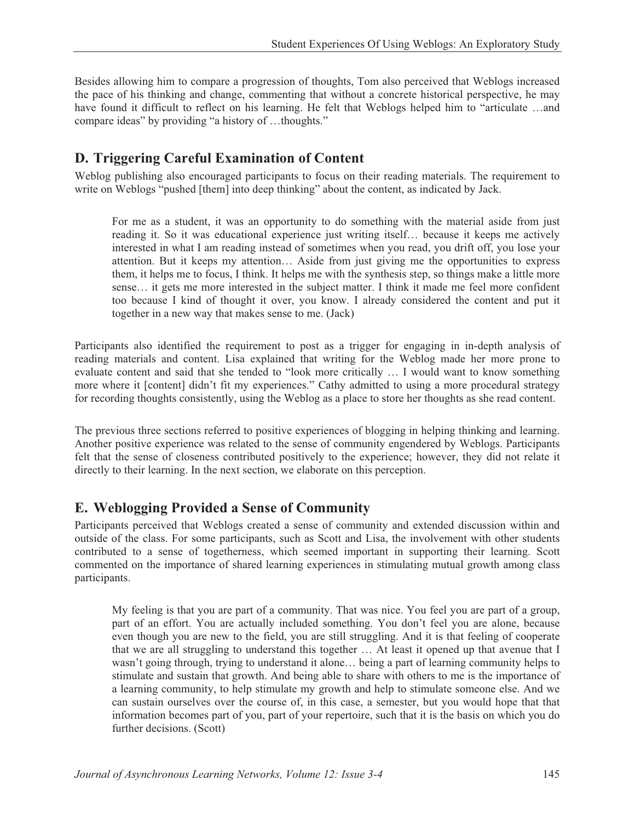Besides allowing him to compare a progression of thoughts, Tom also perceived that Weblogs increased the pace of his thinking and change, commenting that without a concrete historical perspective, he may have found it difficult to reflect on his learning. He felt that Weblogs helped him to "articulate …and compare ideas" by providing "a history of …thoughts."

# **D. Triggering Careful Examination of Content**

Weblog publishing also encouraged participants to focus on their reading materials. The requirement to write on Weblogs "pushed [them] into deep thinking" about the content, as indicated by Jack.

For me as a student, it was an opportunity to do something with the material aside from just reading it. So it was educational experience just writing itself… because it keeps me actively interested in what I am reading instead of sometimes when you read, you drift off, you lose your attention. But it keeps my attention… Aside from just giving me the opportunities to express them, it helps me to focus, I think. It helps me with the synthesis step, so things make a little more sense… it gets me more interested in the subject matter. I think it made me feel more confident too because I kind of thought it over, you know. I already considered the content and put it together in a new way that makes sense to me. (Jack)

Participants also identified the requirement to post as a trigger for engaging in in-depth analysis of reading materials and content. Lisa explained that writing for the Weblog made her more prone to evaluate content and said that she tended to "look more critically … I would want to know something more where it [content] didn't fit my experiences." Cathy admitted to using a more procedural strategy for recording thoughts consistently, using the Weblog as a place to store her thoughts as she read content.

The previous three sections referred to positive experiences of blogging in helping thinking and learning. Another positive experience was related to the sense of community engendered by Weblogs. Participants felt that the sense of closeness contributed positively to the experience; however, they did not relate it directly to their learning. In the next section, we elaborate on this perception.

# **E. Weblogging Provided a Sense of Community**

Participants perceived that Weblogs created a sense of community and extended discussion within and outside of the class. For some participants, such as Scott and Lisa, the involvement with other students contributed to a sense of togetherness, which seemed important in supporting their learning. Scott commented on the importance of shared learning experiences in stimulating mutual growth among class participants.

My feeling is that you are part of a community. That was nice. You feel you are part of a group, part of an effort. You are actually included something. You don't feel you are alone, because even though you are new to the field, you are still struggling. And it is that feeling of cooperate that we are all struggling to understand this together … At least it opened up that avenue that I wasn't going through, trying to understand it alone… being a part of learning community helps to stimulate and sustain that growth. And being able to share with others to me is the importance of a learning community, to help stimulate my growth and help to stimulate someone else. And we can sustain ourselves over the course of, in this case, a semester, but you would hope that that information becomes part of you, part of your repertoire, such that it is the basis on which you do further decisions. (Scott)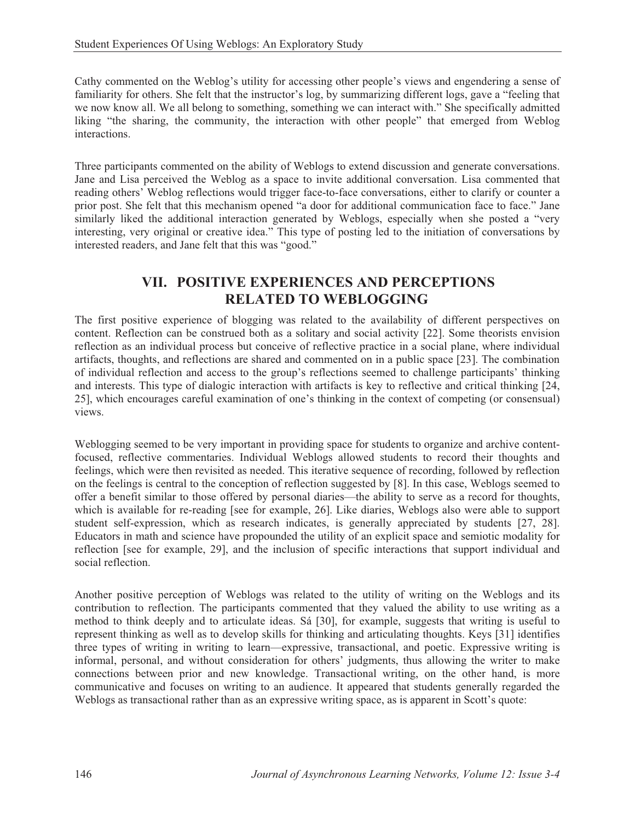Cathy commented on the Weblog's utility for accessing other people's views and engendering a sense of familiarity for others. She felt that the instructor's log, by summarizing different logs, gave a "feeling that we now know all. We all belong to something, something we can interact with." She specifically admitted liking "the sharing, the community, the interaction with other people" that emerged from Weblog interactions.

Three participants commented on the ability of Weblogs to extend discussion and generate conversations. Jane and Lisa perceived the Weblog as a space to invite additional conversation. Lisa commented that reading others' Weblog reflections would trigger face-to-face conversations, either to clarify or counter a prior post. She felt that this mechanism opened "a door for additional communication face to face." Jane similarly liked the additional interaction generated by Weblogs, especially when she posted a "very interesting, very original or creative idea." This type of posting led to the initiation of conversations by interested readers, and Jane felt that this was "good."

## **VII. POSITIVE EXPERIENCES AND PERCEPTIONS RELATED TO WEBLOGGING**

The first positive experience of blogging was related to the availability of different perspectives on content. Reflection can be construed both as a solitary and social activity [22]. Some theorists envision reflection as an individual process but conceive of reflective practice in a social plane, where individual artifacts, thoughts, and reflections are shared and commented on in a public space [23]. The combination of individual reflection and access to the group's reflections seemed to challenge participants' thinking and interests. This type of dialogic interaction with artifacts is key to reflective and critical thinking [24, 25], which encourages careful examination of one's thinking in the context of competing (or consensual) views.

Weblogging seemed to be very important in providing space for students to organize and archive contentfocused, reflective commentaries. Individual Weblogs allowed students to record their thoughts and feelings, which were then revisited as needed. This iterative sequence of recording, followed by reflection on the feelings is central to the conception of reflection suggested by [8]. In this case, Weblogs seemed to offer a benefit similar to those offered by personal diaries—the ability to serve as a record for thoughts, which is available for re-reading [see for example, 26]. Like diaries, Weblogs also were able to support student self-expression, which as research indicates, is generally appreciated by students [27, 28]. Educators in math and science have propounded the utility of an explicit space and semiotic modality for reflection [see for example, 29], and the inclusion of specific interactions that support individual and social reflection.

Another positive perception of Weblogs was related to the utility of writing on the Weblogs and its contribution to reflection. The participants commented that they valued the ability to use writing as a method to think deeply and to articulate ideas. Sá [30], for example, suggests that writing is useful to represent thinking as well as to develop skills for thinking and articulating thoughts. Keys [31] identifies three types of writing in writing to learn—expressive, transactional, and poetic. Expressive writing is informal, personal, and without consideration for others' judgments, thus allowing the writer to make connections between prior and new knowledge. Transactional writing, on the other hand, is more communicative and focuses on writing to an audience. It appeared that students generally regarded the Weblogs as transactional rather than as an expressive writing space, as is apparent in Scott's quote: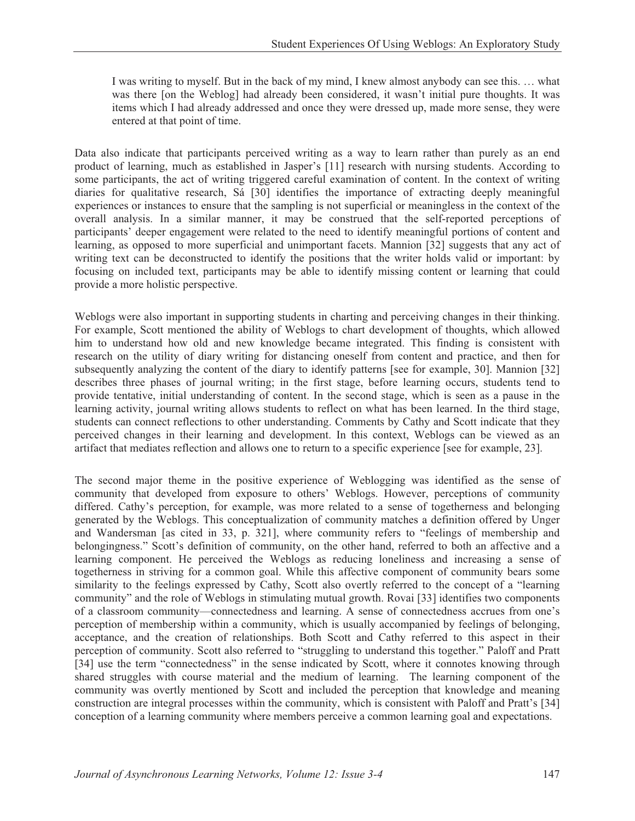I was writing to myself. But in the back of my mind, I knew almost anybody can see this. … what was there [on the Weblog] had already been considered, it wasn't initial pure thoughts. It was items which I had already addressed and once they were dressed up, made more sense, they were entered at that point of time.

Data also indicate that participants perceived writing as a way to learn rather than purely as an end product of learning, much as established in Jasper's [11] research with nursing students. According to some participants, the act of writing triggered careful examination of content. In the context of writing diaries for qualitative research, Sá [30] identifies the importance of extracting deeply meaningful experiences or instances to ensure that the sampling is not superficial or meaningless in the context of the overall analysis. In a similar manner, it may be construed that the self-reported perceptions of participants' deeper engagement were related to the need to identify meaningful portions of content and learning, as opposed to more superficial and unimportant facets. Mannion [32] suggests that any act of writing text can be deconstructed to identify the positions that the writer holds valid or important: by focusing on included text, participants may be able to identify missing content or learning that could provide a more holistic perspective.

Weblogs were also important in supporting students in charting and perceiving changes in their thinking. For example, Scott mentioned the ability of Weblogs to chart development of thoughts, which allowed him to understand how old and new knowledge became integrated. This finding is consistent with research on the utility of diary writing for distancing oneself from content and practice, and then for subsequently analyzing the content of the diary to identify patterns [see for example, 30]. Mannion [32] describes three phases of journal writing; in the first stage, before learning occurs, students tend to provide tentative, initial understanding of content. In the second stage, which is seen as a pause in the learning activity, journal writing allows students to reflect on what has been learned. In the third stage, students can connect reflections to other understanding. Comments by Cathy and Scott indicate that they perceived changes in their learning and development. In this context, Weblogs can be viewed as an artifact that mediates reflection and allows one to return to a specific experience [see for example, 23].

The second major theme in the positive experience of Weblogging was identified as the sense of community that developed from exposure to others' Weblogs. However, perceptions of community differed. Cathy's perception, for example, was more related to a sense of togetherness and belonging generated by the Weblogs. This conceptualization of community matches a definition offered by Unger and Wandersman [as cited in 33, p. 321], where community refers to "feelings of membership and belongingness." Scott's definition of community, on the other hand, referred to both an affective and a learning component. He perceived the Weblogs as reducing loneliness and increasing a sense of togetherness in striving for a common goal. While this affective component of community bears some similarity to the feelings expressed by Cathy, Scott also overtly referred to the concept of a "learning community" and the role of Weblogs in stimulating mutual growth. Rovai [33] identifies two components of a classroom community—connectedness and learning. A sense of connectedness accrues from one's perception of membership within a community, which is usually accompanied by feelings of belonging, acceptance, and the creation of relationships. Both Scott and Cathy referred to this aspect in their perception of community. Scott also referred to "struggling to understand this together." Paloff and Pratt [34] use the term "connectedness" in the sense indicated by Scott, where it connotes knowing through shared struggles with course material and the medium of learning. The learning component of the community was overtly mentioned by Scott and included the perception that knowledge and meaning construction are integral processes within the community, which is consistent with Paloff and Pratt's [34] conception of a learning community where members perceive a common learning goal and expectations.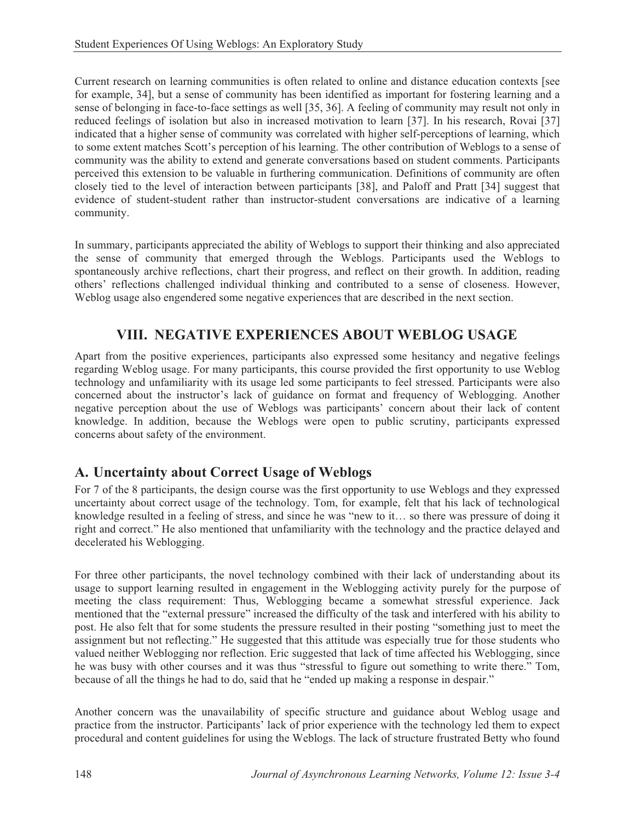Current research on learning communities is often related to online and distance education contexts [see for example, 34], but a sense of community has been identified as important for fostering learning and a sense of belonging in face-to-face settings as well [35, 36]. A feeling of community may result not only in reduced feelings of isolation but also in increased motivation to learn [37]. In his research, Rovai [37] indicated that a higher sense of community was correlated with higher self-perceptions of learning, which to some extent matches Scott's perception of his learning. The other contribution of Weblogs to a sense of community was the ability to extend and generate conversations based on student comments. Participants perceived this extension to be valuable in furthering communication. Definitions of community are often closely tied to the level of interaction between participants [38], and Paloff and Pratt [34] suggest that evidence of student-student rather than instructor-student conversations are indicative of a learning community.

In summary, participants appreciated the ability of Weblogs to support their thinking and also appreciated the sense of community that emerged through the Weblogs. Participants used the Weblogs to spontaneously archive reflections, chart their progress, and reflect on their growth. In addition, reading others' reflections challenged individual thinking and contributed to a sense of closeness. However, Weblog usage also engendered some negative experiences that are described in the next section.

# **VIII. NEGATIVE EXPERIENCES ABOUT WEBLOG USAGE**

Apart from the positive experiences, participants also expressed some hesitancy and negative feelings regarding Weblog usage. For many participants, this course provided the first opportunity to use Weblog technology and unfamiliarity with its usage led some participants to feel stressed. Participants were also concerned about the instructor's lack of guidance on format and frequency of Weblogging. Another negative perception about the use of Weblogs was participants' concern about their lack of content knowledge. In addition, because the Weblogs were open to public scrutiny, participants expressed concerns about safety of the environment.

# **A. Uncertainty about Correct Usage of Weblogs**

For 7 of the 8 participants, the design course was the first opportunity to use Weblogs and they expressed uncertainty about correct usage of the technology. Tom, for example, felt that his lack of technological knowledge resulted in a feeling of stress, and since he was "new to it… so there was pressure of doing it right and correct." He also mentioned that unfamiliarity with the technology and the practice delayed and decelerated his Weblogging.

For three other participants, the novel technology combined with their lack of understanding about its usage to support learning resulted in engagement in the Weblogging activity purely for the purpose of meeting the class requirement: Thus, Weblogging became a somewhat stressful experience. Jack mentioned that the "external pressure" increased the difficulty of the task and interfered with his ability to post. He also felt that for some students the pressure resulted in their posting "something just to meet the assignment but not reflecting." He suggested that this attitude was especially true for those students who valued neither Weblogging nor reflection. Eric suggested that lack of time affected his Weblogging, since he was busy with other courses and it was thus "stressful to figure out something to write there." Tom, because of all the things he had to do, said that he "ended up making a response in despair."

Another concern was the unavailability of specific structure and guidance about Weblog usage and practice from the instructor. Participants' lack of prior experience with the technology led them to expect procedural and content guidelines for using the Weblogs. The lack of structure frustrated Betty who found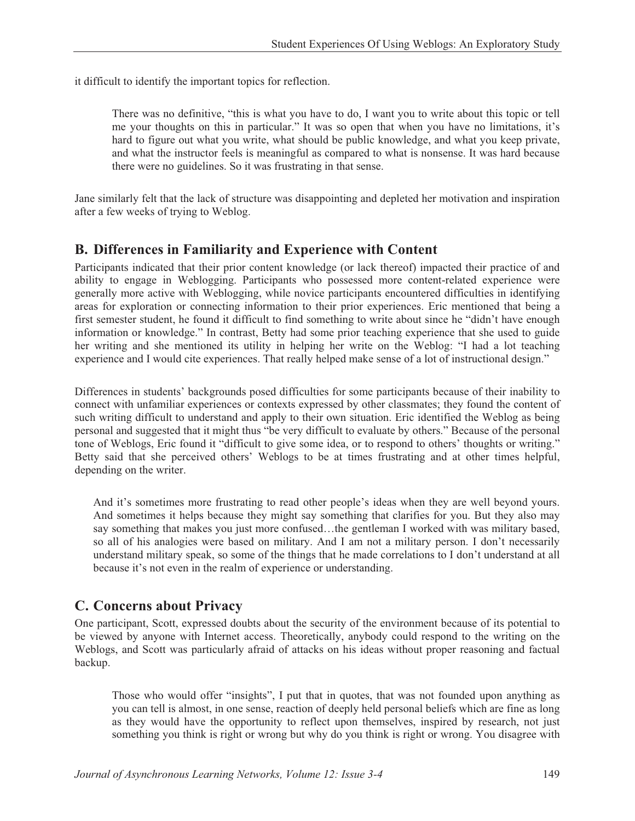it difficult to identify the important topics for reflection.

There was no definitive, "this is what you have to do, I want you to write about this topic or tell me your thoughts on this in particular." It was so open that when you have no limitations, it's hard to figure out what you write, what should be public knowledge, and what you keep private, and what the instructor feels is meaningful as compared to what is nonsense. It was hard because there were no guidelines. So it was frustrating in that sense.

Jane similarly felt that the lack of structure was disappointing and depleted her motivation and inspiration after a few weeks of trying to Weblog.

### **B. Differences in Familiarity and Experience with Content**

Participants indicated that their prior content knowledge (or lack thereof) impacted their practice of and ability to engage in Weblogging. Participants who possessed more content-related experience were generally more active with Weblogging, while novice participants encountered difficulties in identifying areas for exploration or connecting information to their prior experiences. Eric mentioned that being a first semester student, he found it difficult to find something to write about since he "didn't have enough information or knowledge." In contrast, Betty had some prior teaching experience that she used to guide her writing and she mentioned its utility in helping her write on the Weblog: "I had a lot teaching experience and I would cite experiences. That really helped make sense of a lot of instructional design."

Differences in students' backgrounds posed difficulties for some participants because of their inability to connect with unfamiliar experiences or contexts expressed by other classmates; they found the content of such writing difficult to understand and apply to their own situation. Eric identified the Weblog as being personal and suggested that it might thus "be very difficult to evaluate by others." Because of the personal tone of Weblogs, Eric found it "difficult to give some idea, or to respond to others' thoughts or writing." Betty said that she perceived others' Weblogs to be at times frustrating and at other times helpful, depending on the writer.

And it's sometimes more frustrating to read other people's ideas when they are well beyond yours. And sometimes it helps because they might say something that clarifies for you. But they also may say something that makes you just more confused...the gentleman I worked with was military based, so all of his analogies were based on military. And I am not a military person. I don't necessarily understand military speak, so some of the things that he made correlations to I don't understand at all because it's not even in the realm of experience or understanding.

# **C. Concerns about Privacy**

One participant, Scott, expressed doubts about the security of the environment because of its potential to be viewed by anyone with Internet access. Theoretically, anybody could respond to the writing on the Weblogs, and Scott was particularly afraid of attacks on his ideas without proper reasoning and factual backup.

Those who would offer "insights", I put that in quotes, that was not founded upon anything as you can tell is almost, in one sense, reaction of deeply held personal beliefs which are fine as long as they would have the opportunity to reflect upon themselves, inspired by research, not just something you think is right or wrong but why do you think is right or wrong. You disagree with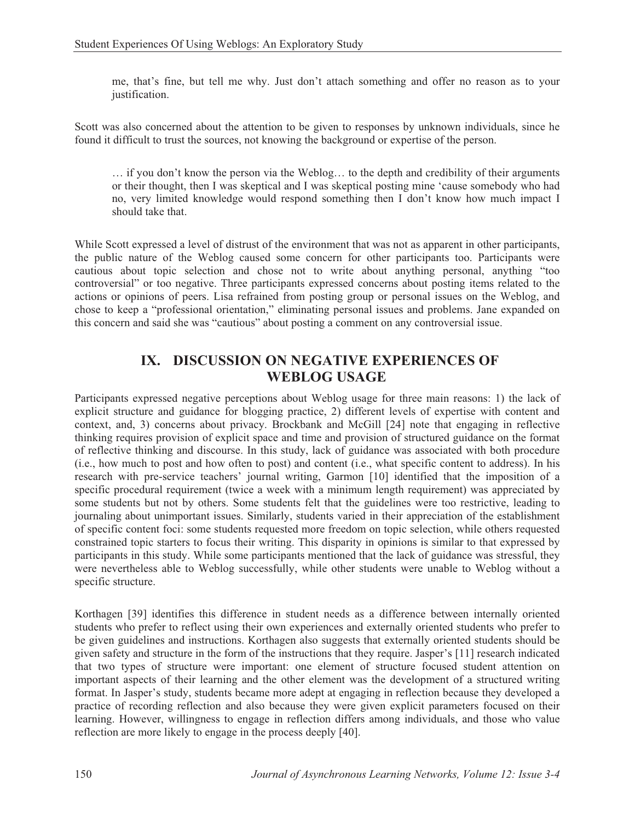me, that's fine, but tell me why. Just don't attach something and offer no reason as to your justification.

Scott was also concerned about the attention to be given to responses by unknown individuals, since he found it difficult to trust the sources, not knowing the background or expertise of the person.

… if you don't know the person via the Weblog… to the depth and credibility of their arguments or their thought, then I was skeptical and I was skeptical posting mine 'cause somebody who had no, very limited knowledge would respond something then I don't know how much impact I should take that.

While Scott expressed a level of distrust of the environment that was not as apparent in other participants, the public nature of the Weblog caused some concern for other participants too. Participants were cautious about topic selection and chose not to write about anything personal, anything "too controversial" or too negative. Three participants expressed concerns about posting items related to the actions or opinions of peers. Lisa refrained from posting group or personal issues on the Weblog, and chose to keep a "professional orientation," eliminating personal issues and problems. Jane expanded on this concern and said she was "cautious" about posting a comment on any controversial issue.

### **IX. DISCUSSION ON NEGATIVE EXPERIENCES OF WEBLOG USAGE**

Participants expressed negative perceptions about Weblog usage for three main reasons: 1) the lack of explicit structure and guidance for blogging practice, 2) different levels of expertise with content and context, and, 3) concerns about privacy. Brockbank and McGill [24] note that engaging in reflective thinking requires provision of explicit space and time and provision of structured guidance on the format of reflective thinking and discourse. In this study, lack of guidance was associated with both procedure (i.e., how much to post and how often to post) and content (i.e., what specific content to address). In his research with pre-service teachers' journal writing, Garmon [10] identified that the imposition of a specific procedural requirement (twice a week with a minimum length requirement) was appreciated by some students but not by others. Some students felt that the guidelines were too restrictive, leading to journaling about unimportant issues. Similarly, students varied in their appreciation of the establishment of specific content foci: some students requested more freedom on topic selection, while others requested constrained topic starters to focus their writing. This disparity in opinions is similar to that expressed by participants in this study. While some participants mentioned that the lack of guidance was stressful, they were nevertheless able to Weblog successfully, while other students were unable to Weblog without a specific structure.

Korthagen [39] identifies this difference in student needs as a difference between internally oriented students who prefer to reflect using their own experiences and externally oriented students who prefer to be given guidelines and instructions. Korthagen also suggests that externally oriented students should be given safety and structure in the form of the instructions that they require. Jasper's [11] research indicated that two types of structure were important: one element of structure focused student attention on important aspects of their learning and the other element was the development of a structured writing format. In Jasper's study, students became more adept at engaging in reflection because they developed a practice of recording reflection and also because they were given explicit parameters focused on their learning. However, willingness to engage in reflection differs among individuals, and those who value reflection are more likely to engage in the process deeply [40].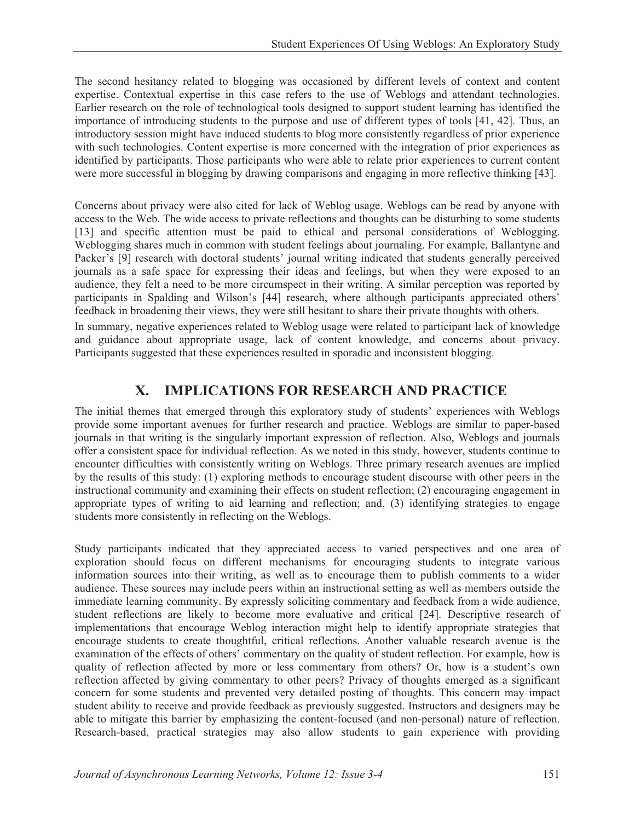The second hesitancy related to blogging was occasioned by different levels of context and content expertise. Contextual expertise in this case refers to the use of Weblogs and attendant technologies. Earlier research on the role of technological tools designed to support student learning has identified the importance of introducing students to the purpose and use of different types of tools [41, 42]. Thus, an introductory session might have induced students to blog more consistently regardless of prior experience with such technologies. Content expertise is more concerned with the integration of prior experiences as identified by participants. Those participants who were able to relate prior experiences to current content were more successful in blogging by drawing comparisons and engaging in more reflective thinking [43].

Concerns about privacy were also cited for lack of Weblog usage. Weblogs can be read by anyone with access to the Web. The wide access to private reflections and thoughts can be disturbing to some students [13] and specific attention must be paid to ethical and personal considerations of Weblogging. Weblogging shares much in common with student feelings about journaling. For example, Ballantyne and Packer's [9] research with doctoral students' journal writing indicated that students generally perceived journals as a safe space for expressing their ideas and feelings, but when they were exposed to an audience, they felt a need to be more circumspect in their writing. A similar perception was reported by participants in Spalding and Wilson's [44] research, where although participants appreciated others' feedback in broadening their views, they were still hesitant to share their private thoughts with others.

In summary, negative experiences related to Weblog usage were related to participant lack of knowledge and guidance about appropriate usage, lack of content knowledge, and concerns about privacy. Participants suggested that these experiences resulted in sporadic and inconsistent blogging.

# **X. IMPLICATIONS FOR RESEARCH AND PRACTICE**

The initial themes that emerged through this exploratory study of students' experiences with Weblogs provide some important avenues for further research and practice. Weblogs are similar to paper-based journals in that writing is the singularly important expression of reflection. Also, Weblogs and journals offer a consistent space for individual reflection. As we noted in this study, however, students continue to encounter difficulties with consistently writing on Weblogs. Three primary research avenues are implied by the results of this study: (1) exploring methods to encourage student discourse with other peers in the instructional community and examining their effects on student reflection; (2) encouraging engagement in appropriate types of writing to aid learning and reflection; and, (3) identifying strategies to engage students more consistently in reflecting on the Weblogs.

Study participants indicated that they appreciated access to varied perspectives and one area of exploration should focus on different mechanisms for encouraging students to integrate various information sources into their writing, as well as to encourage them to publish comments to a wider audience. These sources may include peers within an instructional setting as well as members outside the immediate learning community. By expressly soliciting commentary and feedback from a wide audience, student reflections are likely to become more evaluative and critical [24]. Descriptive research of implementations that encourage Weblog interaction might help to identify appropriate strategies that encourage students to create thoughtful, critical reflections. Another valuable research avenue is the examination of the effects of others' commentary on the quality of student reflection. For example, how is quality of reflection affected by more or less commentary from others? Or, how is a student's own reflection affected by giving commentary to other peers? Privacy of thoughts emerged as a significant concern for some students and prevented very detailed posting of thoughts. This concern may impact student ability to receive and provide feedback as previously suggested. Instructors and designers may be able to mitigate this barrier by emphasizing the content-focused (and non-personal) nature of reflection. Research-based, practical strategies may also allow students to gain experience with providing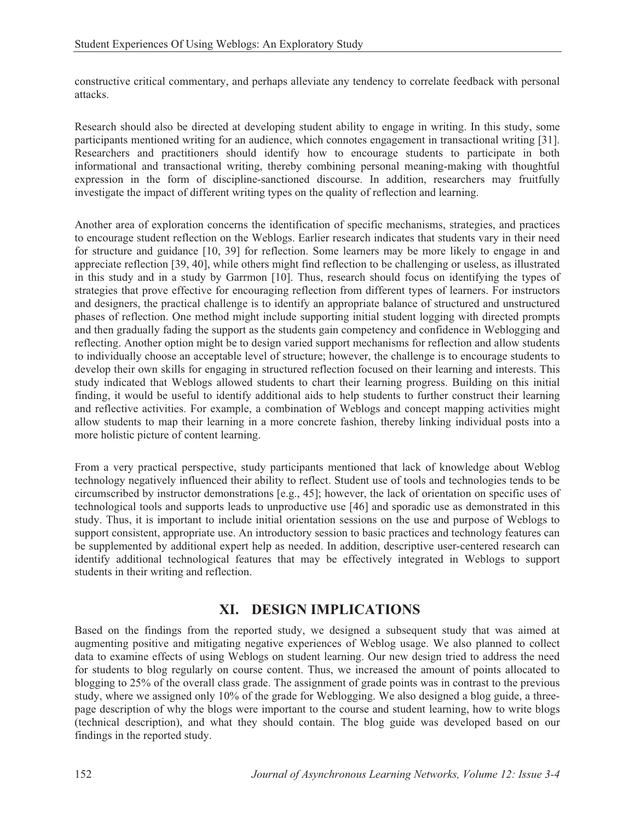constructive critical commentary, and perhaps alleviate any tendency to correlate feedback with personal attacks.

Research should also be directed at developing student ability to engage in writing. In this study, some participants mentioned writing for an audience, which connotes engagement in transactional writing [31]. Researchers and practitioners should identify how to encourage students to participate in both informational and transactional writing, thereby combining personal meaning-making with thoughtful expression in the form of discipline-sanctioned discourse. In addition, researchers may fruitfully investigate the impact of different writing types on the quality of reflection and learning.

Another area of exploration concerns the identification of specific mechanisms, strategies, and practices to encourage student reflection on the Weblogs. Earlier research indicates that students vary in their need for structure and guidance [10, 39] for reflection. Some learners may be more likely to engage in and appreciate reflection [39, 40], while others might find reflection to be challenging or useless, as illustrated in this study and in a study by Garrmon [10]. Thus, research should focus on identifying the types of strategies that prove effective for encouraging reflection from different types of learners. For instructors and designers, the practical challenge is to identify an appropriate balance of structured and unstructured phases of reflection. One method might include supporting initial student logging with directed prompts and then gradually fading the support as the students gain competency and confidence in Weblogging and reflecting. Another option might be to design varied support mechanisms for reflection and allow students to individually choose an acceptable level of structure; however, the challenge is to encourage students to develop their own skills for engaging in structured reflection focused on their learning and interests. This study indicated that Weblogs allowed students to chart their learning progress. Building on this initial finding, it would be useful to identify additional aids to help students to further construct their learning and reflective activities. For example, a combination of Weblogs and concept mapping activities might allow students to map their learning in a more concrete fashion, thereby linking individual posts into a more holistic picture of content learning.

From a very practical perspective, study participants mentioned that lack of knowledge about Weblog technology negatively influenced their ability to reflect. Student use of tools and technologies tends to be circumscribed by instructor demonstrations [e.g., 45]; however, the lack of orientation on specific uses of technological tools and supports leads to unproductive use [46] and sporadic use as demonstrated in this study. Thus, it is important to include initial orientation sessions on the use and purpose of Weblogs to support consistent, appropriate use. An introductory session to basic practices and technology features can be supplemented by additional expert help as needed. In addition, descriptive user-centered research can identify additional technological features that may be effectively integrated in Weblogs to support students in their writing and reflection.

# **XI. DESIGN IMPLICATIONS**

Based on the findings from the reported study, we designed a subsequent study that was aimed at augmenting positive and mitigating negative experiences of Weblog usage. We also planned to collect data to examine effects of using Weblogs on student learning. Our new design tried to address the need for students to blog regularly on course content. Thus, we increased the amount of points allocated to blogging to 25% of the overall class grade. The assignment of grade points was in contrast to the previous study, where we assigned only 10% of the grade for Weblogging. We also designed a blog guide, a threepage description of why the blogs were important to the course and student learning, how to write blogs (technical description), and what they should contain. The blog guide was developed based on our findings in the reported study.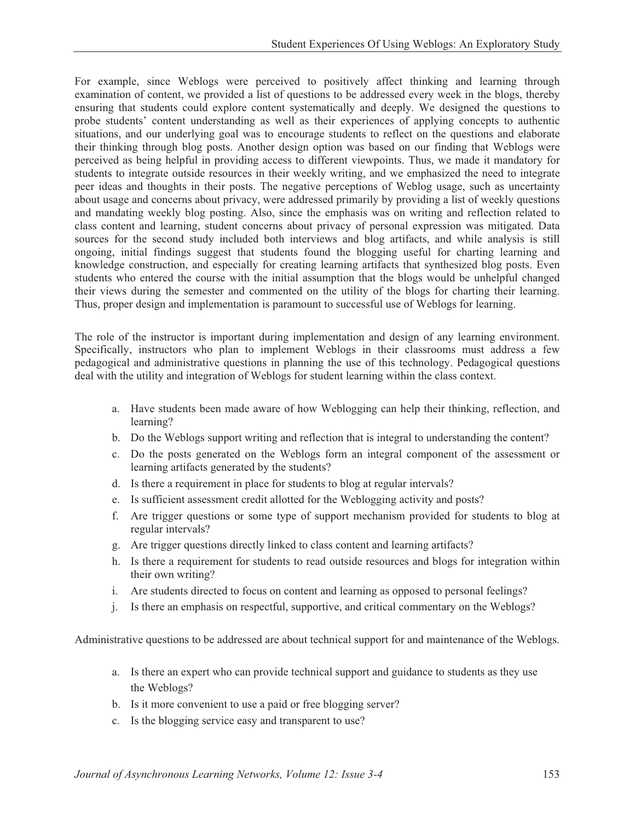For example, since Weblogs were perceived to positively affect thinking and learning through examination of content, we provided a list of questions to be addressed every week in the blogs, thereby ensuring that students could explore content systematically and deeply. We designed the questions to probe students' content understanding as well as their experiences of applying concepts to authentic situations, and our underlying goal was to encourage students to reflect on the questions and elaborate their thinking through blog posts. Another design option was based on our finding that Weblogs were perceived as being helpful in providing access to different viewpoints. Thus, we made it mandatory for students to integrate outside resources in their weekly writing, and we emphasized the need to integrate peer ideas and thoughts in their posts. The negative perceptions of Weblog usage, such as uncertainty about usage and concerns about privacy, were addressed primarily by providing a list of weekly questions and mandating weekly blog posting. Also, since the emphasis was on writing and reflection related to class content and learning, student concerns about privacy of personal expression was mitigated. Data sources for the second study included both interviews and blog artifacts, and while analysis is still ongoing, initial findings suggest that students found the blogging useful for charting learning and knowledge construction, and especially for creating learning artifacts that synthesized blog posts. Even students who entered the course with the initial assumption that the blogs would be unhelpful changed their views during the semester and commented on the utility of the blogs for charting their learning. Thus, proper design and implementation is paramount to successful use of Weblogs for learning.

The role of the instructor is important during implementation and design of any learning environment. Specifically, instructors who plan to implement Weblogs in their classrooms must address a few pedagogical and administrative questions in planning the use of this technology. Pedagogical questions deal with the utility and integration of Weblogs for student learning within the class context.

- a. Have students been made aware of how Weblogging can help their thinking, reflection, and learning?
- b. Do the Weblogs support writing and reflection that is integral to understanding the content?
- c. Do the posts generated on the Weblogs form an integral component of the assessment or learning artifacts generated by the students?
- d. Is there a requirement in place for students to blog at regular intervals?
- e. Is sufficient assessment credit allotted for the Weblogging activity and posts?
- f. Are trigger questions or some type of support mechanism provided for students to blog at regular intervals?
- g. Are trigger questions directly linked to class content and learning artifacts?
- h. Is there a requirement for students to read outside resources and blogs for integration within their own writing?
- i. Are students directed to focus on content and learning as opposed to personal feelings?
- j. Is there an emphasis on respectful, supportive, and critical commentary on the Weblogs?

Administrative questions to be addressed are about technical support for and maintenance of the Weblogs.

- a. Is there an expert who can provide technical support and guidance to students as they use the Weblogs?
- b. Is it more convenient to use a paid or free blogging server?
- c. Is the blogging service easy and transparent to use?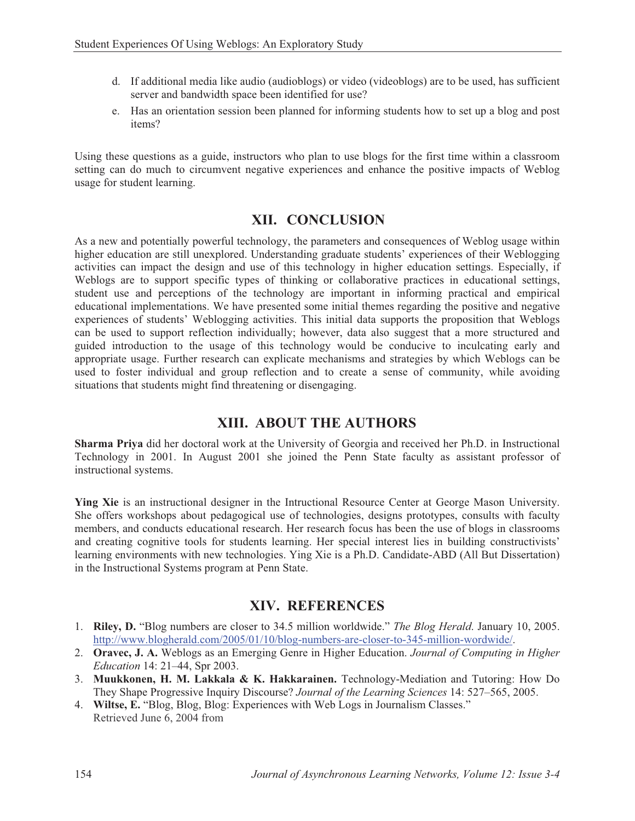- d. If additional media like audio (audioblogs) or video (videoblogs) are to be used, has sufficient server and bandwidth space been identified for use?
- e. Has an orientation session been planned for informing students how to set up a blog and post items?

Using these questions as a guide, instructors who plan to use blogs for the first time within a classroom setting can do much to circumvent negative experiences and enhance the positive impacts of Weblog usage for student learning.

### **XII. CONCLUSION**

As a new and potentially powerful technology, the parameters and consequences of Weblog usage within higher education are still unexplored. Understanding graduate students' experiences of their Weblogging activities can impact the design and use of this technology in higher education settings. Especially, if Weblogs are to support specific types of thinking or collaborative practices in educational settings, student use and perceptions of the technology are important in informing practical and empirical educational implementations. We have presented some initial themes regarding the positive and negative experiences of students' Weblogging activities. This initial data supports the proposition that Weblogs can be used to support reflection individually; however, data also suggest that a more structured and guided introduction to the usage of this technology would be conducive to inculcating early and appropriate usage. Further research can explicate mechanisms and strategies by which Weblogs can be used to foster individual and group reflection and to create a sense of community, while avoiding situations that students might find threatening or disengaging.

# **XIII. ABOUT THE AUTHORS**

**Sharma Priya** did her doctoral work at the University of Georgia and received her Ph.D. in Instructional Technology in 2001. In August 2001 she joined the Penn State faculty as assistant professor of instructional systems.

**Ying Xie** is an instructional designer in the Intructional Resource Center at George Mason University. She offers workshops about pedagogical use of technologies, designs prototypes, consults with faculty members, and conducts educational research. Her research focus has been the use of blogs in classrooms and creating cognitive tools for students learning. Her special interest lies in building constructivists' learning environments with new technologies. Ying Xie is a Ph.D. Candidate-ABD (All But Dissertation) in the Instructional Systems program at Penn State.

# **XIV. REFERENCES**

- 1. **Riley, D.** "Blog numbers are closer to 34.5 million worldwide." *The Blog Herald*. January 10, 2005. http://www.blogherald.com/2005/01/10/blog-numbers-are-closer-to-345-million-wordwide/.
- 2. **Oravec, J. A.** Weblogs as an Emerging Genre in Higher Education. *Journal of Computing in Higher Education* 14: 21–44, Spr 2003.
- 3. **Muukkonen, H. M. Lakkala & K. Hakkarainen.** Technology-Mediation and Tutoring: How Do They Shape Progressive Inquiry Discourse? *Journal of the Learning Sciences* 14: 527–565, 2005.
- 4. **Wiltse, E.** "Blog, Blog, Blog: Experiences with Web Logs in Journalism Classes." Retrieved June 6, 2004 from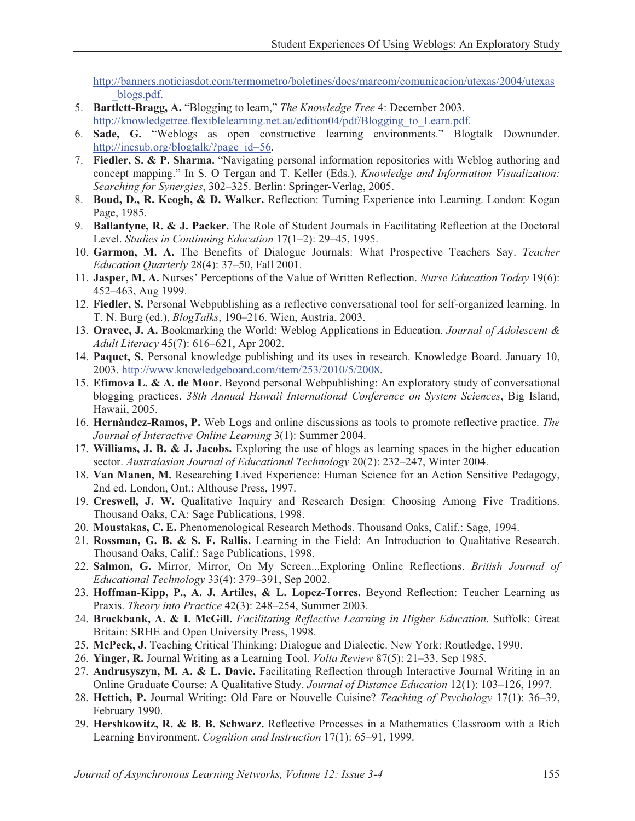http://banners.noticiasdot.com/termometro/boletines/docs/marcom/comunicacion/utexas/2004/utexas \_blogs.pdf.

- 5. **Bartlett-Bragg, A.** "Blogging to learn," *The Knowledge Tree* 4: December 2003. http://knowledgetree.flexiblelearning.net.au/edition04/pdf/Blogging to Learn.pdf.
- 6. **Sade, G.** "Weblogs as open constructive learning environments." Blogtalk Downunder. http://incsub.org/blogtalk/?page\_id=56.
- 7. **Fiedler, S. & P. Sharma.** "Navigating personal information repositories with Weblog authoring and concept mapping." In S. O Tergan and T. Keller (Eds.), *Knowledge and Information Visualization: Searching for Synergies*, 302–325. Berlin: Springer-Verlag, 2005.
- 8. **Boud, D., R. Keogh, & D. Walker.** Reflection: Turning Experience into Learning. London: Kogan Page, 1985.
- 9. **Ballantyne, R. & J. Packer.** The Role of Student Journals in Facilitating Reflection at the Doctoral Level. *Studies in Continuing Education* 17(1–2): 29–45, 1995.
- 10. **Garmon, M. A.** The Benefits of Dialogue Journals: What Prospective Teachers Say. *Teacher Education Quarterly* 28(4): 37–50, Fall 2001.
- 11. **Jasper, M. A.** Nurses' Perceptions of the Value of Written Reflection. *Nurse Education Today* 19(6): 452–463, Aug 1999.
- 12. **Fiedler, S.** Personal Webpublishing as a reflective conversational tool for self-organized learning. In T. N. Burg (ed.), *BlogTalks*, 190–216. Wien, Austria, 2003.
- 13. **Oravec, J. A.** Bookmarking the World: Weblog Applications in Education. *Journal of Adolescent & Adult Literacy* 45(7): 616–621, Apr 2002.
- 14. **Paquet, S.** Personal knowledge publishing and its uses in research. Knowledge Board. January 10, 2003. http://www.knowledgeboard.com/item/253/2010/5/2008.
- 15. **Efimova L. & A. de Moor.** Beyond personal Webpublishing: An exploratory study of conversational blogging practices. *38th Annual Hawaii International Conference on System Sciences*, Big Island, Hawaii, 2005.
- 16. **Hernàndez-Ramos, P.** Web Logs and online discussions as tools to promote reflective practice. *The Journal of Interactive Online Learning* 3(1): Summer 2004.
- 17. **Williams, J. B. & J. Jacobs.** Exploring the use of blogs as learning spaces in the higher education sector. *Australasian Journal of Educational Technology* 20(2): 232–247, Winter 2004.
- 18. **Van Manen, M.** Researching Lived Experience: Human Science for an Action Sensitive Pedagogy, 2nd ed. London, Ont.: Althouse Press, 1997.
- 19. **Creswell, J. W.** Qualitative Inquiry and Research Design: Choosing Among Five Traditions. Thousand Oaks, CA: Sage Publications, 1998.
- 20. **Moustakas, C. E.** Phenomenological Research Methods. Thousand Oaks, Calif.: Sage, 1994.
- 21. **Rossman, G. B. & S. F. Rallis.** Learning in the Field: An Introduction to Qualitative Research. Thousand Oaks, Calif.: Sage Publications, 1998.
- 22. **Salmon, G.** Mirror, Mirror, On My Screen...Exploring Online Reflections. *British Journal of Educational Technology* 33(4): 379–391, Sep 2002.
- 23. **Hoffman-Kipp, P., A. J. Artiles, & L. Lopez-Torres.** Beyond Reflection: Teacher Learning as Praxis. *Theory into Practice* 42(3): 248–254, Summer 2003.
- 24. **Brockbank, A. & I. McGill.** *Facilitating Reflective Learning in Higher Education*. Suffolk: Great Britain: SRHE and Open University Press, 1998.
- 25. **McPeck, J.** Teaching Critical Thinking: Dialogue and Dialectic. New York: Routledge, 1990.
- 26. **Yinger, R.** Journal Writing as a Learning Tool. *Volta Review* 87(5): 21–33, Sep 1985.
- 27. **Andrusyszyn, M. A. & L. Davie.** Facilitating Reflection through Interactive Journal Writing in an Online Graduate Course: A Qualitative Study. *Journal of Distance Education* 12(1): 103–126, 1997.
- 28. **Hettich, P.** Journal Writing: Old Fare or Nouvelle Cuisine? *Teaching of Psychology* 17(1): 36–39, February 1990.
- 29. **Hershkowitz, R. & B. B. Schwarz.** Reflective Processes in a Mathematics Classroom with a Rich Learning Environment. *Cognition and Instruction* 17(1): 65–91, 1999.